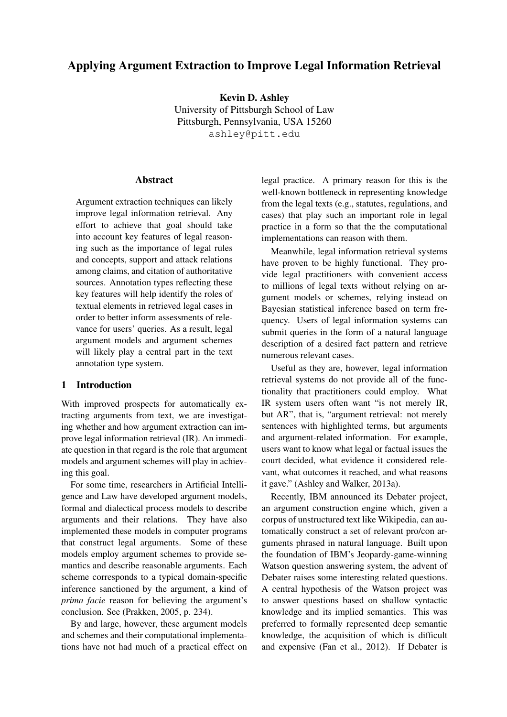# Applying Argument Extraction to Improve Legal Information Retrieval

Kevin D. Ashley University of Pittsburgh School of Law Pittsburgh, Pennsylvania, USA 15260 ashley@pitt.edu

### **Abstract**

Argument extraction techniques can likely improve legal information retrieval. Any effort to achieve that goal should take into account key features of legal reasoning such as the importance of legal rules and concepts, support and attack relations among claims, and citation of authoritative sources. Annotation types reflecting these key features will help identify the roles of textual elements in retrieved legal cases in order to better inform assessments of relevance for users' queries. As a result, legal argument models and argument schemes will likely play a central part in the text annotation type system.

#### 1 Introduction

With improved prospects for automatically extracting arguments from text, we are investigating whether and how argument extraction can improve legal information retrieval (IR). An immediate question in that regard is the role that argument models and argument schemes will play in achieving this goal.

For some time, researchers in Artificial Intelligence and Law have developed argument models, formal and dialectical process models to describe arguments and their relations. They have also implemented these models in computer programs that construct legal arguments. Some of these models employ argument schemes to provide semantics and describe reasonable arguments. Each scheme corresponds to a typical domain-specific inference sanctioned by the argument, a kind of *prima facie* reason for believing the argument's conclusion. See (Prakken, 2005, p. 234).

By and large, however, these argument models and schemes and their computational implementations have not had much of a practical effect on legal practice. A primary reason for this is the well-known bottleneck in representing knowledge from the legal texts (e.g., statutes, regulations, and cases) that play such an important role in legal practice in a form so that the the computational implementations can reason with them.

Meanwhile, legal information retrieval systems have proven to be highly functional. They provide legal practitioners with convenient access to millions of legal texts without relying on argument models or schemes, relying instead on Bayesian statistical inference based on term frequency. Users of legal information systems can submit queries in the form of a natural language description of a desired fact pattern and retrieve numerous relevant cases.

Useful as they are, however, legal information retrieval systems do not provide all of the functionality that practitioners could employ. What IR system users often want "is not merely IR, but AR", that is, "argument retrieval: not merely sentences with highlighted terms, but arguments and argument-related information. For example, users want to know what legal or factual issues the court decided, what evidence it considered relevant, what outcomes it reached, and what reasons it gave." (Ashley and Walker, 2013a).

Recently, IBM announced its Debater project, an argument construction engine which, given a corpus of unstructured text like Wikipedia, can automatically construct a set of relevant pro/con arguments phrased in natural language. Built upon the foundation of IBM's Jeopardy-game-winning Watson question answering system, the advent of Debater raises some interesting related questions. A central hypothesis of the Watson project was to answer questions based on shallow syntactic knowledge and its implied semantics. This was preferred to formally represented deep semantic knowledge, the acquisition of which is difficult and expensive (Fan et al., 2012). If Debater is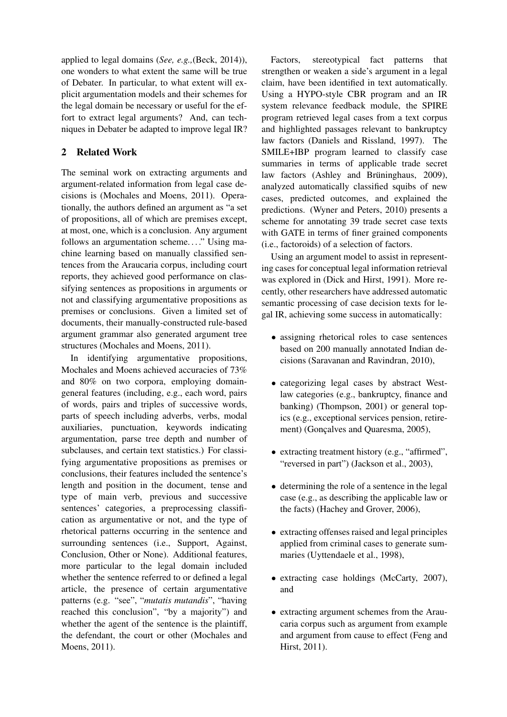applied to legal domains (*See, e.g.,*(Beck, 2014)), one wonders to what extent the same will be true of Debater. In particular, to what extent will explicit argumentation models and their schemes for the legal domain be necessary or useful for the effort to extract legal arguments? And, can techniques in Debater be adapted to improve legal IR?

# 2 Related Work

The seminal work on extracting arguments and argument-related information from legal case decisions is (Mochales and Moens, 2011). Operationally, the authors defined an argument as "a set of propositions, all of which are premises except, at most, one, which is a conclusion. Any argument follows an argumentation scheme...." Using machine learning based on manually classified sentences from the Araucaria corpus, including court reports, they achieved good performance on classifying sentences as propositions in arguments or not and classifying argumentative propositions as premises or conclusions. Given a limited set of documents, their manually-constructed rule-based argument grammar also generated argument tree structures (Mochales and Moens, 2011).

In identifying argumentative propositions, Mochales and Moens achieved accuracies of 73% and 80% on two corpora, employing domaingeneral features (including, e.g., each word, pairs of words, pairs and triples of successive words, parts of speech including adverbs, verbs, modal auxiliaries, punctuation, keywords indicating argumentation, parse tree depth and number of subclauses, and certain text statistics.) For classifying argumentative propositions as premises or conclusions, their features included the sentence's length and position in the document, tense and type of main verb, previous and successive sentences' categories, a preprocessing classification as argumentative or not, and the type of rhetorical patterns occurring in the sentence and surrounding sentences (i.e., Support, Against, Conclusion, Other or None). Additional features, more particular to the legal domain included whether the sentence referred to or defined a legal article, the presence of certain argumentative patterns (e.g. "see", "*mutatis mutandis*", "having reached this conclusion", "by a majority") and whether the agent of the sentence is the plaintiff, the defendant, the court or other (Mochales and Moens, 2011).

Factors, stereotypical fact patterns that strengthen or weaken a side's argument in a legal claim, have been identified in text automatically. Using a HYPO-style CBR program and an IR system relevance feedback module, the SPIRE program retrieved legal cases from a text corpus and highlighted passages relevant to bankruptcy law factors (Daniels and Rissland, 1997). The SMILE+IBP program learned to classify case summaries in terms of applicable trade secret law factors (Ashley and Brüninghaus, 2009), analyzed automatically classified squibs of new cases, predicted outcomes, and explained the predictions. (Wyner and Peters, 2010) presents a scheme for annotating 39 trade secret case texts with GATE in terms of finer grained components (i.e., factoroids) of a selection of factors.

Using an argument model to assist in representing cases for conceptual legal information retrieval was explored in (Dick and Hirst, 1991). More recently, other researchers have addressed automatic semantic processing of case decision texts for legal IR, achieving some success in automatically:

- assigning rhetorical roles to case sentences based on 200 manually annotated Indian decisions (Saravanan and Ravindran, 2010),
- categorizing legal cases by abstract Westlaw categories (e.g., bankruptcy, finance and banking) (Thompson, 2001) or general topics (e.g., exceptional services pension, retirement) (Gonçalves and Quaresma, 2005),
- extracting treatment history (e.g., "affirmed", "reversed in part") (Jackson et al., 2003),
- determining the role of a sentence in the legal case (e.g., as describing the applicable law or the facts) (Hachey and Grover, 2006),
- extracting offenses raised and legal principles applied from criminal cases to generate summaries (Uyttendaele et al., 1998),
- extracting case holdings (McCarty, 2007), and
- extracting argument schemes from the Araucaria corpus such as argument from example and argument from cause to effect (Feng and Hirst, 2011).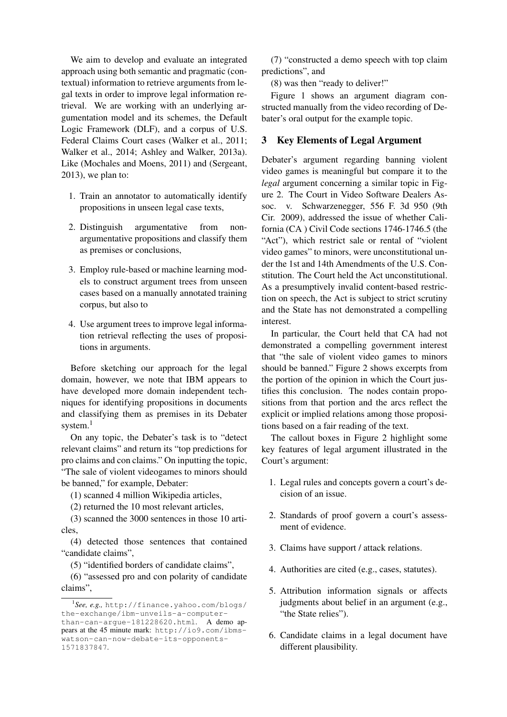We aim to develop and evaluate an integrated approach using both semantic and pragmatic (contextual) information to retrieve arguments from legal texts in order to improve legal information retrieval. We are working with an underlying argumentation model and its schemes, the Default Logic Framework (DLF), and a corpus of U.S. Federal Claims Court cases (Walker et al., 2011; Walker et al., 2014; Ashley and Walker, 2013a). Like (Mochales and Moens, 2011) and (Sergeant, 2013), we plan to:

- 1. Train an annotator to automatically identify propositions in unseen legal case texts,
- 2. Distinguish argumentative from nonargumentative propositions and classify them as premises or conclusions,
- 3. Employ rule-based or machine learning models to construct argument trees from unseen cases based on a manually annotated training corpus, but also to
- 4. Use argument trees to improve legal information retrieval reflecting the uses of propositions in arguments.

Before sketching our approach for the legal domain, however, we note that IBM appears to have developed more domain independent techniques for identifying propositions in documents and classifying them as premises in its Debater system.<sup>1</sup>

On any topic, the Debater's task is to "detect relevant claims" and return its "top predictions for pro claims and con claims." On inputting the topic, "The sale of violent videogames to minors should be banned," for example, Debater:

(1) scanned 4 million Wikipedia articles,

(2) returned the 10 most relevant articles,

(3) scanned the 3000 sentences in those 10 articles,

(4) detected those sentences that contained "candidate claims",

(5) "identified borders of candidate claims",

(6) "assessed pro and con polarity of candidate claims",

(7) "constructed a demo speech with top claim predictions", and

(8) was then "ready to deliver!"

Figure 1 shows an argument diagram constructed manually from the video recording of Debater's oral output for the example topic.

### 3 Key Elements of Legal Argument

Debater's argument regarding banning violent video games is meaningful but compare it to the *legal* argument concerning a similar topic in Figure 2. The Court in Video Software Dealers Assoc. v. Schwarzenegger, 556 F. 3d 950 (9th Cir. 2009), addressed the issue of whether California (CA ) Civil Code sections 1746-1746.5 (the "Act"), which restrict sale or rental of "violent" video games" to minors, were unconstitutional under the 1st and 14th Amendments of the U.S. Constitution. The Court held the Act unconstitutional. As a presumptively invalid content-based restriction on speech, the Act is subject to strict scrutiny and the State has not demonstrated a compelling interest.

In particular, the Court held that CA had not demonstrated a compelling government interest that "the sale of violent video games to minors should be banned." Figure 2 shows excerpts from the portion of the opinion in which the Court justifies this conclusion. The nodes contain propositions from that portion and the arcs reflect the explicit or implied relations among those propositions based on a fair reading of the text.

The callout boxes in Figure 2 highlight some key features of legal argument illustrated in the Court's argument:

- 1. Legal rules and concepts govern a court's decision of an issue.
- 2. Standards of proof govern a court's assessment of evidence.
- 3. Claims have support / attack relations.
- 4. Authorities are cited (e.g., cases, statutes).
- 5. Attribution information signals or affects judgments about belief in an argument (e.g., "the State relies").
- 6. Candidate claims in a legal document have different plausibility.

<sup>1</sup> *See, e.g.,* http://finance.yahoo.com/blogs/ the-exchange/ibm-unveils-a-computerthan-can-argue-181228620.html. A demo appears at the 45 minute mark: http://io9.com/ibmswatson-can-now-debate-its-opponents-1571837847.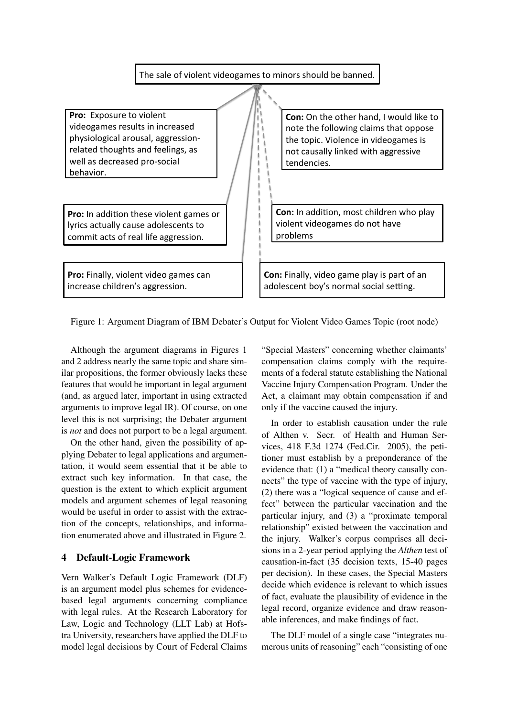

Figure 1: Argument Diagram of IBM Debater's Output for Violent Video Games Topic (root node)

Although the argument diagrams in Figures 1 and 2 address nearly the same topic and share similar propositions, the former obviously lacks these features that would be important in legal argument (and, as argued later, important in using extracted arguments to improve legal IR). Of course, on one level this is not surprising; the Debater argument is *not* and does not purport to be a legal argument.

On the other hand, given the possibility of applying Debater to legal applications and argumentation, it would seem essential that it be able to extract such key information. In that case, the question is the extent to which explicit argument models and argument schemes of legal reasoning would be useful in order to assist with the extraction of the concepts, relationships, and information enumerated above and illustrated in Figure 2.

### 4 Default-Logic Framework

Vern Walker's Default Logic Framework (DLF) is an argument model plus schemes for evidencebased legal arguments concerning compliance with legal rules. At the Research Laboratory for Law, Logic and Technology (LLT Lab) at Hofstra University, researchers have applied the DLF to model legal decisions by Court of Federal Claims

"Special Masters" concerning whether claimants' compensation claims comply with the requirements of a federal statute establishing the National Vaccine Injury Compensation Program. Under the Act, a claimant may obtain compensation if and only if the vaccine caused the injury.

In order to establish causation under the rule of Althen v. Secr. of Health and Human Services, 418 F.3d 1274 (Fed.Cir. 2005), the petitioner must establish by a preponderance of the evidence that: (1) a "medical theory causally connects" the type of vaccine with the type of injury, (2) there was a "logical sequence of cause and effect" between the particular vaccination and the particular injury, and (3) a "proximate temporal relationship" existed between the vaccination and the injury. Walker's corpus comprises all decisions in a 2-year period applying the *Althen* test of causation-in-fact (35 decision texts, 15-40 pages per decision). In these cases, the Special Masters decide which evidence is relevant to which issues of fact, evaluate the plausibility of evidence in the legal record, organize evidence and draw reasonable inferences, and make findings of fact.

The DLF model of a single case "integrates numerous units of reasoning" each "consisting of one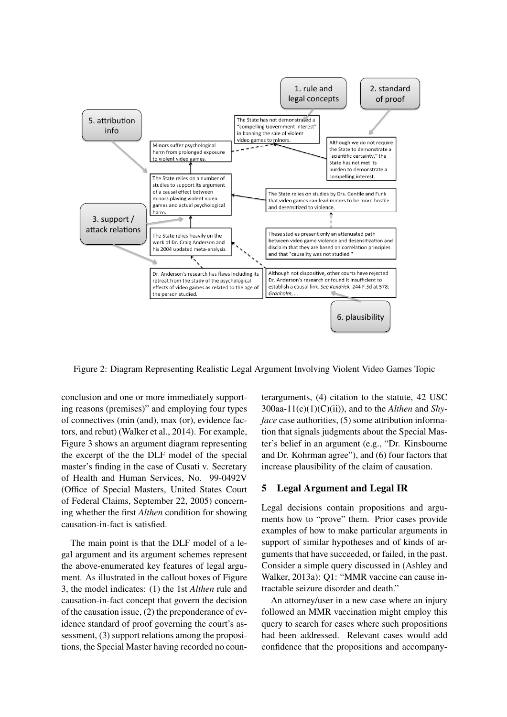

Figure 2: Diagram Representing Realistic Legal Argument Involving Violent Video Games Topic

conclusion and one or more immediately supporting reasons (premises)" and employing four types of connectives (min (and), max (or), evidence factors, and rebut) (Walker et al., 2014). For example, Figure 3 shows an argument diagram representing the excerpt of the the DLF model of the special master's finding in the case of Cusati v. Secretary of Health and Human Services, No. 99-0492V (Office of Special Masters, United States Court of Federal Claims, September 22, 2005) concerning whether the first *Althen* condition for showing causation-in-fact is satisfied.

The main point is that the DLF model of a legal argument and its argument schemes represent the above-enumerated key features of legal argument. As illustrated in the callout boxes of Figure 3, the model indicates: (1) the 1st *Althen* rule and causation-in-fact concept that govern the decision of the causation issue, (2) the preponderance of evidence standard of proof governing the court's assessment, (3) support relations among the propositions, the Special Master having recorded no coun-

terarguments, (4) citation to the statute, 42 USC 300aa-11(c)(1)(C)(ii)), and to the *Althen* and *Shyface* case authorities, (5) some attribution information that signals judgments about the Special Master's belief in an argument (e.g., "Dr. Kinsbourne and Dr. Kohrman agree"), and (6) four factors that increase plausibility of the claim of causation.

### 5 Legal Argument and Legal IR

Legal decisions contain propositions and arguments how to "prove" them. Prior cases provide examples of how to make particular arguments in support of similar hypotheses and of kinds of arguments that have succeeded, or failed, in the past. Consider a simple query discussed in (Ashley and Walker, 2013a): Q1: "MMR vaccine can cause intractable seizure disorder and death."

An attorney/user in a new case where an injury followed an MMR vaccination might employ this query to search for cases where such propositions had been addressed. Relevant cases would add confidence that the propositions and accompany-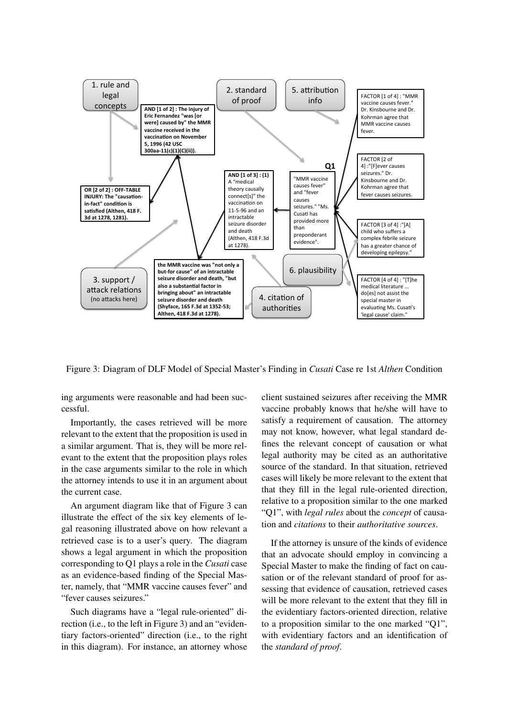

Figure 3: Diagram of DLF Model of Special Master's Finding in *Cusati* Case re 1st *Althen* Condition

ing arguments were reasonable and had been successful.

Importantly, the cases retrieved will be more relevant to the extent that the proposition is used in a similar argument. That is, they will be more relevant to the extent that the proposition plays roles in the case arguments similar to the role in which the attorney intends to use it in an argument about the current case.

An argument diagram like that of Figure 3 can illustrate the effect of the six key elements of legal reasoning illustrated above on how relevant a retrieved case is to a user's query. The diagram shows a legal argument in which the proposition corresponding to Q1 plays a role in the *Cusati* case as an evidence-based finding of the Special Master, namely, that "MMR vaccine causes fever" and "fever causes seizures."

Such diagrams have a "legal rule-oriented" direction (i.e., to the left in Figure 3) and an "evidentiary factors-oriented" direction (i.e., to the right in this diagram). For instance, an attorney whose client sustained seizures after receiving the MMR vaccine probably knows that he/she will have to satisfy a requirement of causation. The attorney may not know, however, what legal standard defines the relevant concept of causation or what legal authority may be cited as an authoritative source of the standard. In that situation, retrieved cases will likely be more relevant to the extent that that they fill in the legal rule-oriented direction, relative to a proposition similar to the one marked "Q1", with *legal rules* about the *concept* of causation and *citations* to their *authoritative sources*.

If the attorney is unsure of the kinds of evidence that an advocate should employ in convincing a Special Master to make the finding of fact on causation or of the relevant standard of proof for assessing that evidence of causation, retrieved cases will be more relevant to the extent that they fill in the evidentiary factors-oriented direction, relative to a proposition similar to the one marked "Q1", with evidentiary factors and an identification of the *standard of proof*.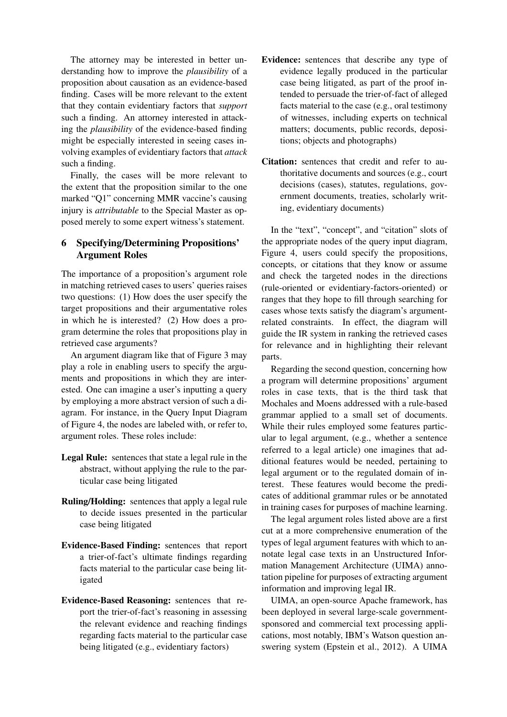The attorney may be interested in better understanding how to improve the *plausibility* of a proposition about causation as an evidence-based finding. Cases will be more relevant to the extent that they contain evidentiary factors that *support* such a finding. An attorney interested in attacking the *plausibility* of the evidence-based finding might be especially interested in seeing cases involving examples of evidentiary factors that *attack* such a finding.

Finally, the cases will be more relevant to the extent that the proposition similar to the one marked "Q1" concerning MMR vaccine's causing injury is *attributable* to the Special Master as opposed merely to some expert witness's statement.

# 6 Specifying/Determining Propositions' Argument Roles

The importance of a proposition's argument role in matching retrieved cases to users' queries raises two questions: (1) How does the user specify the target propositions and their argumentative roles in which he is interested? (2) How does a program determine the roles that propositions play in retrieved case arguments?

An argument diagram like that of Figure 3 may play a role in enabling users to specify the arguments and propositions in which they are interested. One can imagine a user's inputting a query by employing a more abstract version of such a diagram. For instance, in the Query Input Diagram of Figure 4, the nodes are labeled with, or refer to, argument roles. These roles include:

- Legal Rule: sentences that state a legal rule in the abstract, without applying the rule to the particular case being litigated
- Ruling/Holding: sentences that apply a legal rule to decide issues presented in the particular case being litigated
- Evidence-Based Finding: sentences that report a trier-of-fact's ultimate findings regarding facts material to the particular case being litigated
- Evidence-Based Reasoning: sentences that report the trier-of-fact's reasoning in assessing the relevant evidence and reaching findings regarding facts material to the particular case being litigated (e.g., evidentiary factors)
- Evidence: sentences that describe any type of evidence legally produced in the particular case being litigated, as part of the proof intended to persuade the trier-of-fact of alleged facts material to the case (e.g., oral testimony of witnesses, including experts on technical matters; documents, public records, depositions; objects and photographs)
- Citation: sentences that credit and refer to authoritative documents and sources (e.g., court decisions (cases), statutes, regulations, government documents, treaties, scholarly writing, evidentiary documents)

In the "text", "concept", and "citation" slots of the appropriate nodes of the query input diagram, Figure 4, users could specify the propositions, concepts, or citations that they know or assume and check the targeted nodes in the directions (rule-oriented or evidentiary-factors-oriented) or ranges that they hope to fill through searching for cases whose texts satisfy the diagram's argumentrelated constraints. In effect, the diagram will guide the IR system in ranking the retrieved cases for relevance and in highlighting their relevant parts.

Regarding the second question, concerning how a program will determine propositions' argument roles in case texts, that is the third task that Mochales and Moens addressed with a rule-based grammar applied to a small set of documents. While their rules employed some features particular to legal argument, (e.g., whether a sentence referred to a legal article) one imagines that additional features would be needed, pertaining to legal argument or to the regulated domain of interest. These features would become the predicates of additional grammar rules or be annotated in training cases for purposes of machine learning.

The legal argument roles listed above are a first cut at a more comprehensive enumeration of the types of legal argument features with which to annotate legal case texts in an Unstructured Information Management Architecture (UIMA) annotation pipeline for purposes of extracting argument information and improving legal IR.

UIMA, an open-source Apache framework, has been deployed in several large-scale governmentsponsored and commercial text processing applications, most notably, IBM's Watson question answering system (Epstein et al., 2012). A UIMA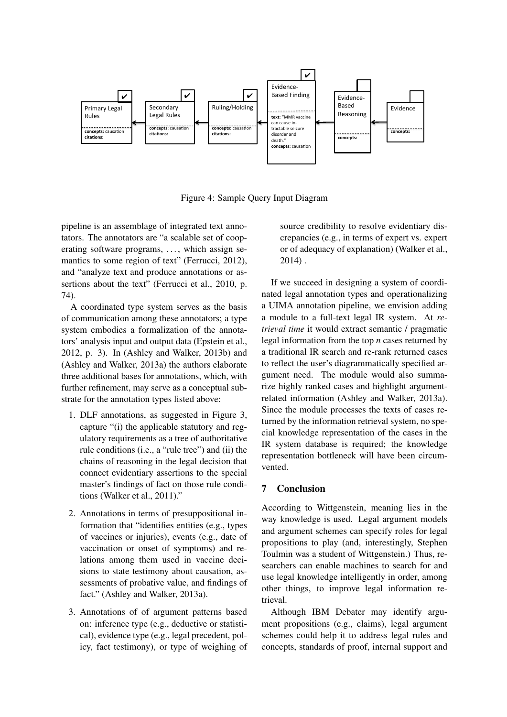

Figure 4: Sample Query Input Diagram

pipeline is an assemblage of integrated text annotators. The annotators are "a scalable set of cooperating software programs, ..., which assign semantics to some region of text" (Ferrucci, 2012), and "analyze text and produce annotations or assertions about the text" (Ferrucci et al., 2010, p. 74).

A coordinated type system serves as the basis of communication among these annotators; a type system embodies a formalization of the annotators' analysis input and output data (Epstein et al., 2012, p. 3). In (Ashley and Walker, 2013b) and (Ashley and Walker, 2013a) the authors elaborate three additional bases for annotations, which, with further refinement, may serve as a conceptual substrate for the annotation types listed above:

- 1. DLF annotations, as suggested in Figure 3, capture "(i) the applicable statutory and regulatory requirements as a tree of authoritative rule conditions (i.e., a "rule tree") and (ii) the chains of reasoning in the legal decision that connect evidentiary assertions to the special master's findings of fact on those rule conditions (Walker et al., 2011)."
- 2. Annotations in terms of presuppositional information that "identifies entities (e.g., types of vaccines or injuries), events (e.g., date of vaccination or onset of symptoms) and relations among them used in vaccine decisions to state testimony about causation, assessments of probative value, and findings of fact." (Ashley and Walker, 2013a).
- 3. Annotations of of argument patterns based on: inference type (e.g., deductive or statistical), evidence type (e.g., legal precedent, policy, fact testimony), or type of weighing of

source credibility to resolve evidentiary discrepancies (e.g., in terms of expert vs. expert or of adequacy of explanation) (Walker et al., 2014) .

If we succeed in designing a system of coordinated legal annotation types and operationalizing a UIMA annotation pipeline, we envision adding a module to a full-text legal IR system. At *retrieval time* it would extract semantic / pragmatic legal information from the top *n* cases returned by a traditional IR search and re-rank returned cases to reflect the user's diagrammatically specified argument need. The module would also summarize highly ranked cases and highlight argumentrelated information (Ashley and Walker, 2013a). Since the module processes the texts of cases returned by the information retrieval system, no special knowledge representation of the cases in the IR system database is required; the knowledge representation bottleneck will have been circumvented.

### 7 Conclusion

According to Wittgenstein, meaning lies in the way knowledge is used. Legal argument models and argument schemes can specify roles for legal propositions to play (and, interestingly, Stephen Toulmin was a student of Wittgenstein.) Thus, researchers can enable machines to search for and use legal knowledge intelligently in order, among other things, to improve legal information retrieval.

Although IBM Debater may identify argument propositions (e.g., claims), legal argument schemes could help it to address legal rules and concepts, standards of proof, internal support and